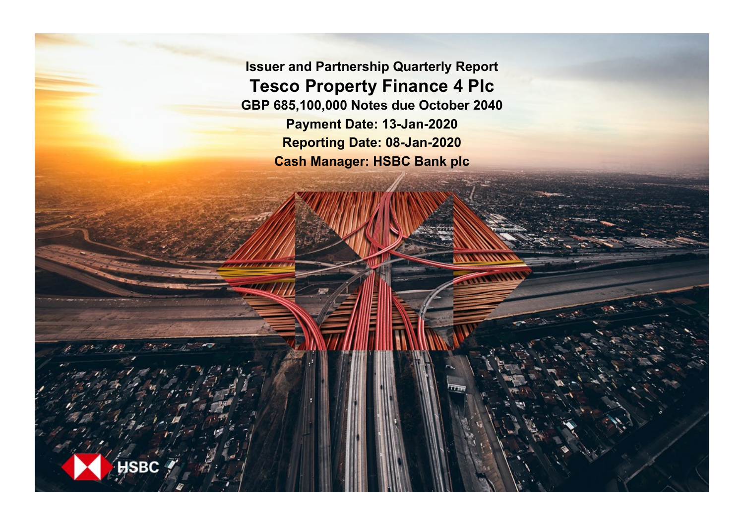**Issuer and Partnership Quarterly Report Tesco Property Finance 4 Plc GBP 685,100,000 Notes due October 2040 Payment Date: 13-Jan-2020 Reporting Date: 08-Jan-2020 Cash Manager: HSBC Bank plc**

**SRC**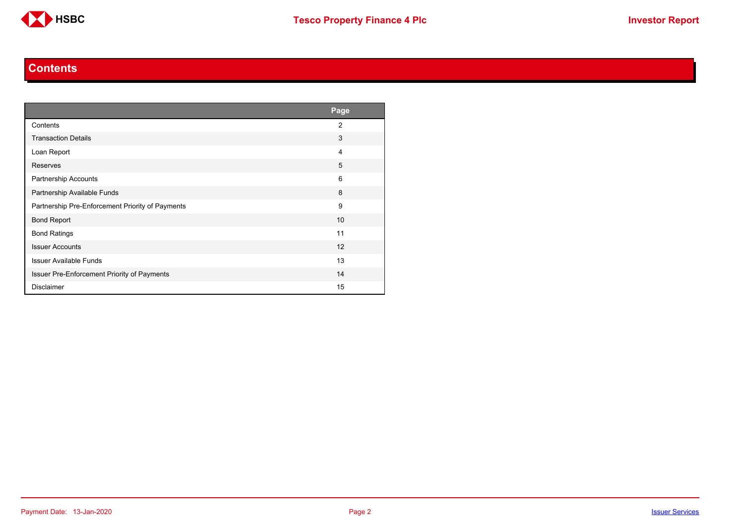

#### **Contents**

<span id="page-1-0"></span>

|                                                  | Page           |
|--------------------------------------------------|----------------|
| Contents                                         | $\overline{2}$ |
| <b>Transaction Details</b>                       | 3              |
| Loan Report                                      | 4              |
| Reserves                                         | 5              |
| <b>Partnership Accounts</b>                      | 6              |
| Partnership Available Funds                      | 8              |
| Partnership Pre-Enforcement Priority of Payments | 9              |
| <b>Bond Report</b>                               | 10             |
| <b>Bond Ratings</b>                              | 11             |
| <b>Issuer Accounts</b>                           | 12             |
| <b>Issuer Available Funds</b>                    | 13             |
| Issuer Pre-Enforcement Priority of Payments      | 14             |
| <b>Disclaimer</b>                                | 15             |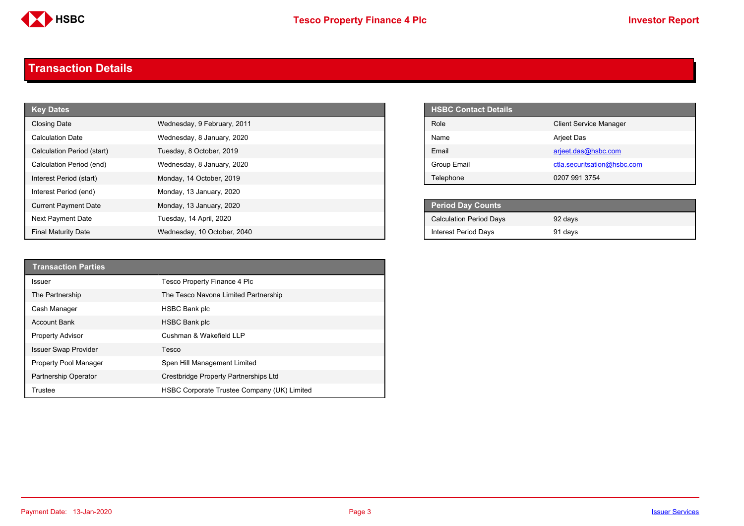

#### <span id="page-2-0"></span>**Transaction Details**

| <b>Key Dates</b>            |                             | <b>HSBC Contact Details</b>    |
|-----------------------------|-----------------------------|--------------------------------|
| <b>Closing Date</b>         | Wednesday, 9 February, 2011 | Role                           |
| <b>Calculation Date</b>     | Wednesday, 8 January, 2020  | Name                           |
| Calculation Period (start)  | Tuesday, 8 October, 2019    | Email                          |
| Calculation Period (end)    | Wednesday, 8 January, 2020  | Group Email                    |
| Interest Period (start)     | Monday, 14 October, 2019    | Telephone                      |
| Interest Period (end)       | Monday, 13 January, 2020    |                                |
| <b>Current Payment Date</b> | Monday, 13 January, 2020    | Period Day Counts              |
| Next Payment Date           | Tuesday, 14 April, 2020     | <b>Calculation Period Days</b> |
| <b>Final Maturity Date</b>  | Wednesday, 10 October, 2040 | <b>Interest Period Days</b>    |

| <b>HSBC Contact Details</b> |                               |
|-----------------------------|-------------------------------|
| Role                        | <b>Client Service Manager</b> |
| Name                        | Arjeet Das                    |
| Email                       | arjeet.das@hsbc.com           |
| Group Email                 | ctla.securitsation@hsbc.com   |
| Telephone                   | 0207 991 3754                 |

| Period Day Counts              |         |  |
|--------------------------------|---------|--|
| <b>Calculation Period Days</b> | 92 days |  |
| <b>Interest Period Days</b>    | 91 days |  |

| <b>Transaction Parties</b>  |                                             |
|-----------------------------|---------------------------------------------|
| <b>Issuer</b>               | Tesco Property Finance 4 Plc                |
| The Partnership             | The Tesco Navona Limited Partnership        |
| Cash Manager                | <b>HSBC Bank plc</b>                        |
| Account Bank                | <b>HSBC Bank plc</b>                        |
| <b>Property Advisor</b>     | Cushman & Wakefield LLP                     |
| <b>Issuer Swap Provider</b> | Tesco                                       |
| Property Pool Manager       | Spen Hill Management Limited                |
| Partnership Operator        | Crestbridge Property Partnerships Ltd       |
| Trustee                     | HSBC Corporate Trustee Company (UK) Limited |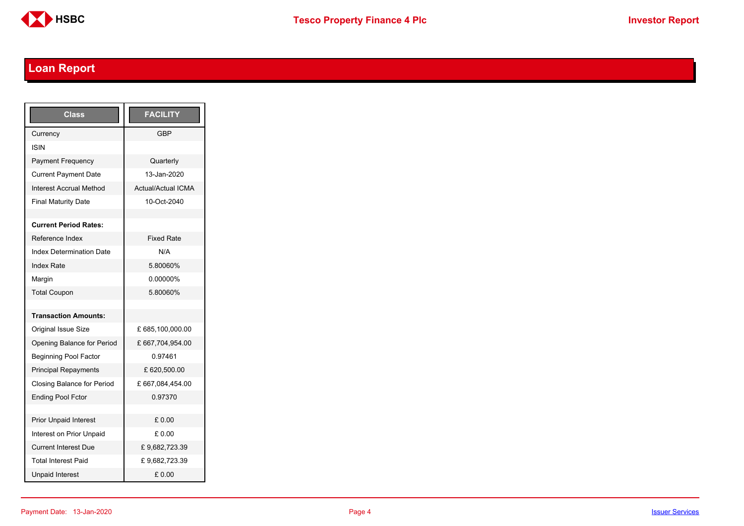

## <span id="page-3-0"></span>**Loan Report**

| <b>Class</b>                      | <b>FACILITY</b>           |
|-----------------------------------|---------------------------|
| Currency                          | GBP                       |
| ISIN                              |                           |
| <b>Payment Frequency</b>          | Quarterly                 |
| <b>Current Payment Date</b>       | 13-Jan-2020               |
| <b>Interest Accrual Method</b>    | <b>Actual/Actual ICMA</b> |
| <b>Final Maturity Date</b>        | 10-Oct-2040               |
|                                   |                           |
| <b>Current Period Rates:</b>      |                           |
| Reference Index                   | <b>Fixed Rate</b>         |
| <b>Index Determination Date</b>   | N/A                       |
| <b>Index Rate</b>                 | 5.80060%                  |
| Margin                            | 0.00000%                  |
| <b>Total Coupon</b>               | 5.80060%                  |
|                                   |                           |
| <b>Transaction Amounts:</b>       |                           |
| <b>Original Issue Size</b>        | £ 685,100,000.00          |
| Opening Balance for Period        | £667,704,954.00           |
| <b>Beginning Pool Factor</b>      | 0.97461                   |
| <b>Principal Repayments</b>       | £ 620,500.00              |
| <b>Closing Balance for Period</b> | £ 667,084,454.00          |
| <b>Ending Pool Fctor</b>          | 0.97370                   |
|                                   |                           |
| <b>Prior Unpaid Interest</b>      | £0.00                     |
| Interest on Prior Unpaid          | £ 0.00                    |
| <b>Current Interest Due</b>       | £9,682,723.39             |
| <b>Total Interest Paid</b>        | £9,682,723.39             |
| <b>Unpaid Interest</b>            | £0.00                     |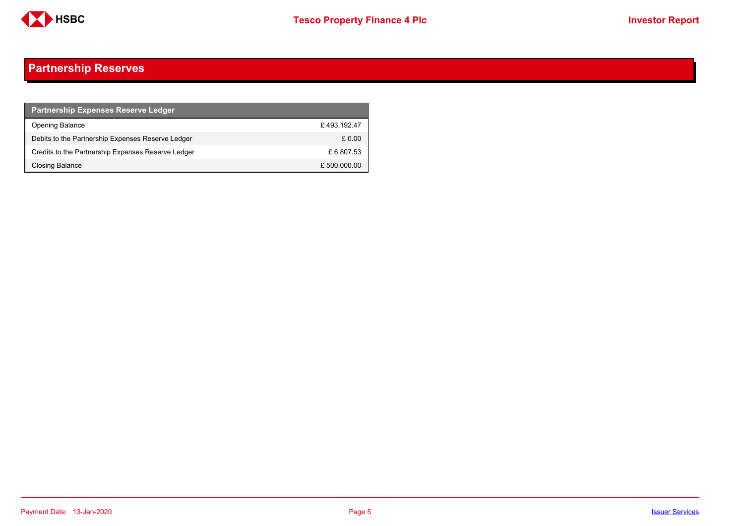

### <span id="page-4-0"></span>**Partnership Reserves**

| <b>Partnership Expenses Reserve Ledger</b>         |              |
|----------------------------------------------------|--------------|
| <b>Opening Balance</b>                             | £493.192.47  |
| Debits to the Partnership Expenses Reserve Ledger  | £ 0.00       |
| Credits to the Partnership Expenses Reserve Ledger | £ 6,807.53   |
| Closing Balance                                    | £ 500,000.00 |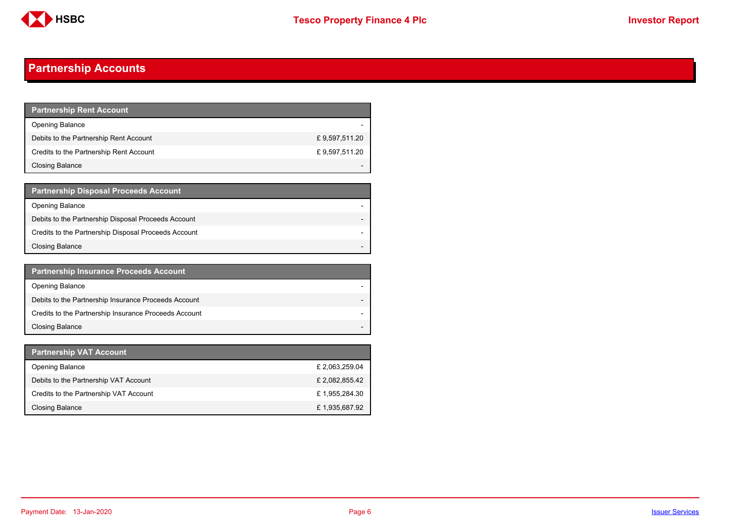

### <span id="page-5-0"></span>**Partnership Accounts**

| <b>Partnership Rent Account</b>         |               |
|-----------------------------------------|---------------|
| <b>Opening Balance</b>                  |               |
| Debits to the Partnership Rent Account  | £9,597,511.20 |
| Credits to the Partnership Rent Account | £9,597,511.20 |
| <b>Closing Balance</b>                  |               |

| <b>Partnership Disposal Proceeds Account</b>         |  |
|------------------------------------------------------|--|
| Opening Balance                                      |  |
| Debits to the Partnership Disposal Proceeds Account  |  |
| Credits to the Partnership Disposal Proceeds Account |  |
| <b>Closing Balance</b>                               |  |

| <b>Partnership Insurance Proceeds Account</b>         |  |
|-------------------------------------------------------|--|
| <b>Opening Balance</b>                                |  |
| Debits to the Partnership Insurance Proceeds Account  |  |
| Credits to the Partnership Insurance Proceeds Account |  |
| <b>Closing Balance</b>                                |  |

| <b>Partnership VAT Account</b>         |                |
|----------------------------------------|----------------|
| <b>Opening Balance</b>                 | £ 2,063,259.04 |
| Debits to the Partnership VAT Account  | £ 2,082,855.42 |
| Credits to the Partnership VAT Account | £1.955.284.30  |
| Closing Balance                        | £1,935,687.92  |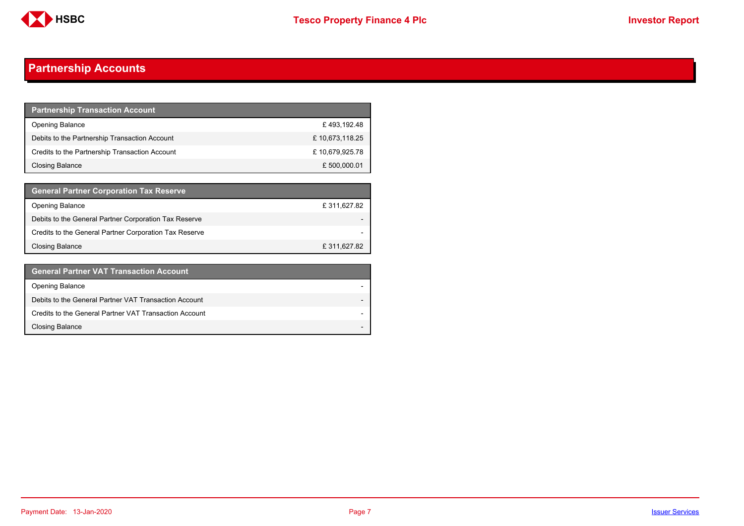

### **Partnership Accounts**

| <b>Partnership Transaction Account</b>         |                |
|------------------------------------------------|----------------|
| <b>Opening Balance</b>                         | £493.192.48    |
| Debits to the Partnership Transaction Account  | £10,673,118.25 |
| Credits to the Partnership Transaction Account | £10,679,925.78 |
| Closing Balance                                | £500,000.01    |

| <b>General Partner Corporation Tax Reserve</b>         |             |
|--------------------------------------------------------|-------------|
| <b>Opening Balance</b>                                 | £311,627.82 |
| Debits to the General Partner Corporation Tax Reserve  |             |
| Credits to the General Partner Corporation Tax Reserve |             |
| <b>Closing Balance</b>                                 | £311,627.82 |

| <b>General Partner VAT Transaction Account</b>         |  |
|--------------------------------------------------------|--|
| <b>Opening Balance</b>                                 |  |
| Debits to the General Partner VAT Transaction Account  |  |
| Credits to the General Partner VAT Transaction Account |  |
| <b>Closing Balance</b>                                 |  |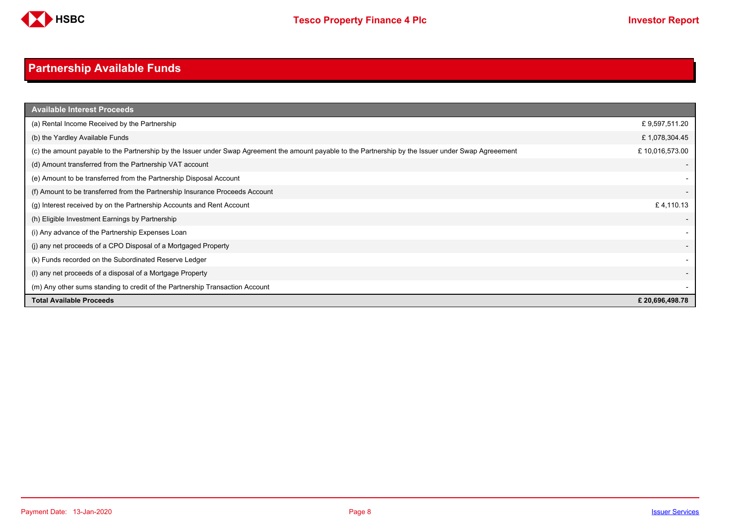

## <span id="page-7-0"></span>**Partnership Available Funds**

| <b>Available Interest Proceeds</b>                                                                                                                     |                |
|--------------------------------------------------------------------------------------------------------------------------------------------------------|----------------|
| (a) Rental Income Received by the Partnership                                                                                                          | £9,597,511.20  |
| (b) the Yardley Available Funds                                                                                                                        | £1,078,304.45  |
| (c) the amount payable to the Partnership by the Issuer under Swap Agreement the amount payable to the Partnership by the Issuer under Swap Agreeement | £10,016,573.00 |
| (d) Amount transferred from the Partnership VAT account                                                                                                |                |
| (e) Amount to be transferred from the Partnership Disposal Account                                                                                     |                |
| (f) Amount to be transferred from the Partnership Insurance Proceeds Account                                                                           |                |
| (g) Interest received by on the Partnership Accounts and Rent Account                                                                                  | £4,110.13      |
| (h) Eligible Investment Earnings by Partnership                                                                                                        |                |
| (i) Any advance of the Partnership Expenses Loan                                                                                                       |                |
| (i) any net proceeds of a CPO Disposal of a Mortgaged Property                                                                                         |                |
| (k) Funds recorded on the Subordinated Reserve Ledger                                                                                                  |                |
| (I) any net proceeds of a disposal of a Mortgage Property                                                                                              |                |
| (m) Any other sums standing to credit of the Partnership Transaction Account                                                                           |                |
| <b>Total Available Proceeds</b>                                                                                                                        | £20,696,498.78 |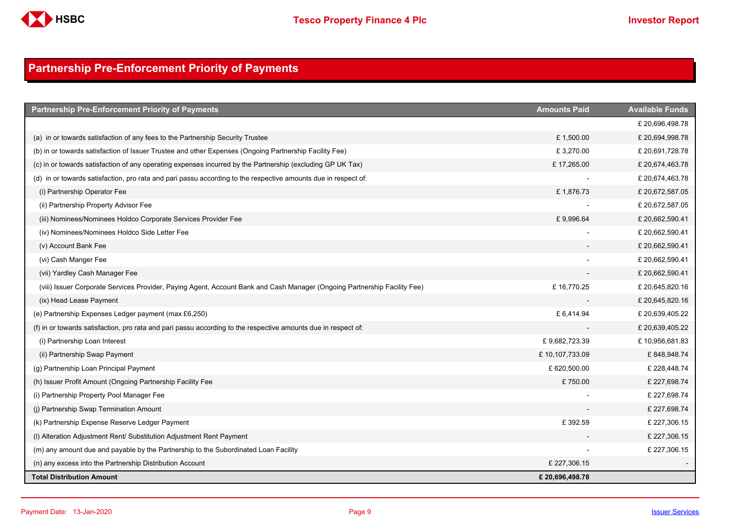

### <span id="page-8-0"></span>**Partnership Pre-Enforcement Priority of Payments**

| <b>Partnership Pre-Enforcement Priority of Payments</b>                                                                   | <b>Amounts Paid</b> | <b>Available Funds</b> |
|---------------------------------------------------------------------------------------------------------------------------|---------------------|------------------------|
|                                                                                                                           |                     | £20,696,498.78         |
| (a) in or towards satisfaction of any fees to the Partnership Security Trustee                                            | £1,500.00           | £20,694,998.78         |
| (b) in or towards satisfaction of Issuer Trustee and other Expenses (Ongoing Partnership Facility Fee)                    | £3,270.00           | £20,691,728.78         |
| (c) in or towards satisfaction of any operating expenses incurred by the Partnership (excluding GP UK Tax)                | £17,265.00          | £20,674,463.78         |
| (d) in or towards satisfaction, pro rata and pari passu according to the respective amounts due in respect of:            |                     | £20,674,463.78         |
| (i) Partnership Operator Fee                                                                                              | £1,876.73           | £20,672,587.05         |
| (ii) Partnership Property Advisor Fee                                                                                     |                     | £20,672,587.05         |
| (iii) Nominees/Nominees Holdco Corporate Services Provider Fee                                                            | £9,996.64           | £20,662,590.41         |
| (iv) Nominees/Nominees Holdco Side Letter Fee                                                                             |                     | £20,662,590.41         |
| (v) Account Bank Fee                                                                                                      |                     | £20,662,590.41         |
| (vi) Cash Manger Fee                                                                                                      |                     | £20,662,590.41         |
| (vii) Yardley Cash Manager Fee                                                                                            |                     | £20,662,590.41         |
| (viii) Issuer Corporate Services Provider, Paying Agent, Account Bank and Cash Manager (Ongoing Partnership Facility Fee) | £16,770.25          | £ 20,645,820.16        |
| (ix) Head Lease Payment                                                                                                   |                     | £ 20,645,820.16        |
| (e) Partnership Expenses Ledger payment (max £6,250)                                                                      | £6,414.94           | £ 20,639,405.22        |
| (f) in or towards satisfaction, pro rata and pari passu according to the respective amounts due in respect of:            |                     | £ 20,639,405.22        |
| (i) Partnership Loan Interest                                                                                             | £9,682,723.39       | £10,956,681.83         |
| (ii) Partnership Swap Payment                                                                                             | £10,107,733.09      | £848,948.74            |
| (g) Partnership Loan Principal Payment                                                                                    | £ 620,500.00        | £228,448.74            |
| (h) Issuer Profit Amount (Ongoing Partnership Facility Fee                                                                | £750.00             | £227,698.74            |
| (i) Partnership Property Pool Manager Fee                                                                                 |                     | £227,698.74            |
| (j) Partnership Swap Termination Amount                                                                                   |                     | £ 227,698.74           |
| (k) Partnership Expense Reserve Ledger Payment                                                                            | £392.59             | £227,306.15            |
| (I) Alteration Adjustment Rent/ Substitution Adjustment Rent Payment                                                      |                     | £ 227,306.15           |
| (m) any amount due and payable by the Partnership to the Subordinated Loan Facility                                       |                     | £ 227,306.15           |
| (n) any excess into the Partnership Distribution Account                                                                  | £ 227,306.15        |                        |
| <b>Total Distribution Amount</b>                                                                                          | £20,696,498.78      |                        |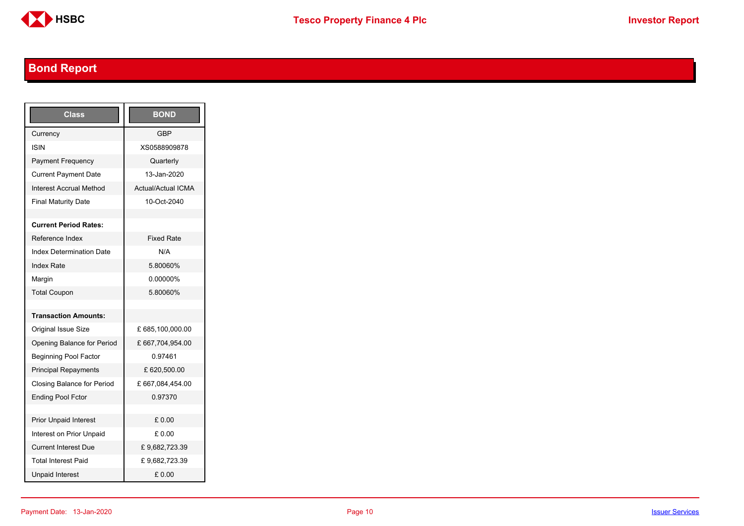

## <span id="page-9-0"></span>**Bond Report**

| Class                           | <b>BOND</b>               |
|---------------------------------|---------------------------|
| Currency                        | <b>GBP</b>                |
| ISIN                            | XS0588909878              |
| <b>Payment Frequency</b>        | Quarterly                 |
| <b>Current Payment Date</b>     | 13-Jan-2020               |
| Interest Accrual Method         | <b>Actual/Actual ICMA</b> |
| <b>Final Maturity Date</b>      | 10-Oct-2040               |
|                                 |                           |
| <b>Current Period Rates:</b>    |                           |
| Reference Index                 | <b>Fixed Rate</b>         |
| <b>Index Determination Date</b> | N/A                       |
| <b>Index Rate</b>               | 5.80060%                  |
| Margin                          | 0.00000%                  |
| <b>Total Coupon</b>             | 5.80060%                  |
|                                 |                           |
| <b>Transaction Amounts:</b>     |                           |
| Original Issue Size             | £ 685,100,000.00          |
| Opening Balance for Period      | £ 667,704,954.00          |
| <b>Beginning Pool Factor</b>    | 0.97461                   |
| <b>Principal Repayments</b>     | £ 620,500.00              |
| Closing Balance for Period      | £ 667,084,454.00          |
| <b>Ending Pool Fctor</b>        | 0.97370                   |
|                                 |                           |
| <b>Prior Unpaid Interest</b>    | £0.00                     |
| Interest on Prior Unpaid        | £ 0.00                    |
| <b>Current Interest Due</b>     | £9,682,723.39             |
| <b>Total Interest Paid</b>      | £9,682,723.39             |
| <b>Unpaid Interest</b>          | £0.00                     |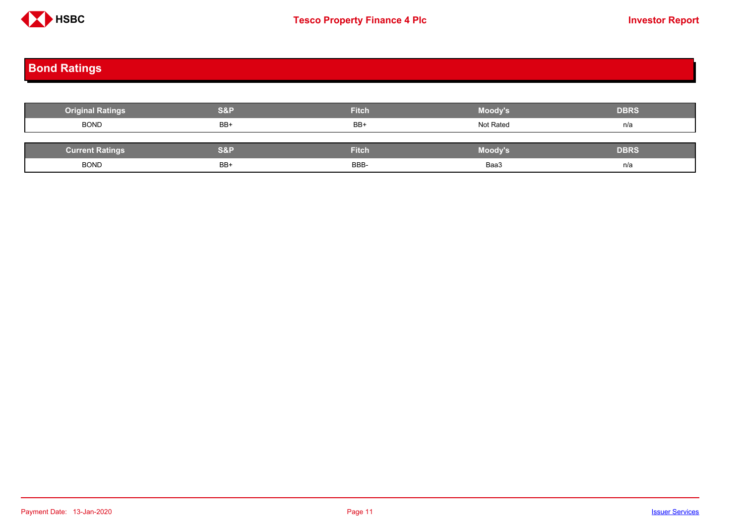

# <span id="page-10-0"></span>**Bond Ratings**

| <b>Original Ratings</b> | <b>S&amp;P</b> | Fitch        | Moody's   | <b>DBRS</b> |
|-------------------------|----------------|--------------|-----------|-------------|
| <b>BOND</b>             | BB+            | BB+          | Not Rated | n/a         |
|                         |                |              |           |             |
| <b>Current Ratings</b>  | S&P            | <b>Fitch</b> | Moody's   | <b>DBRS</b> |
| <b>BOND</b>             | BB+            | BBB-         | Baa3      | n/a         |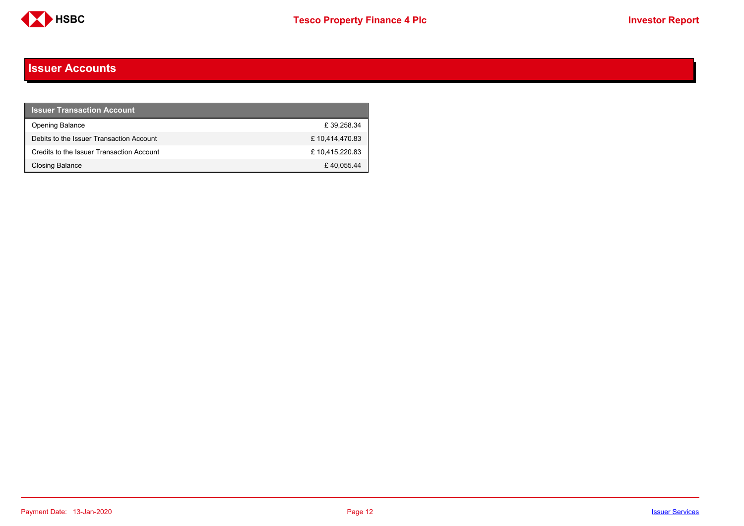

#### <span id="page-11-0"></span>**Issuer Accounts**

| <b>Issuer Transaction Account</b>         |                |
|-------------------------------------------|----------------|
| <b>Opening Balance</b>                    | £39.258.34     |
| Debits to the Issuer Transaction Account  | £10,414,470.83 |
| Credits to the Issuer Transaction Account | £10,415,220.83 |
| <b>Closing Balance</b>                    | £40.055.44     |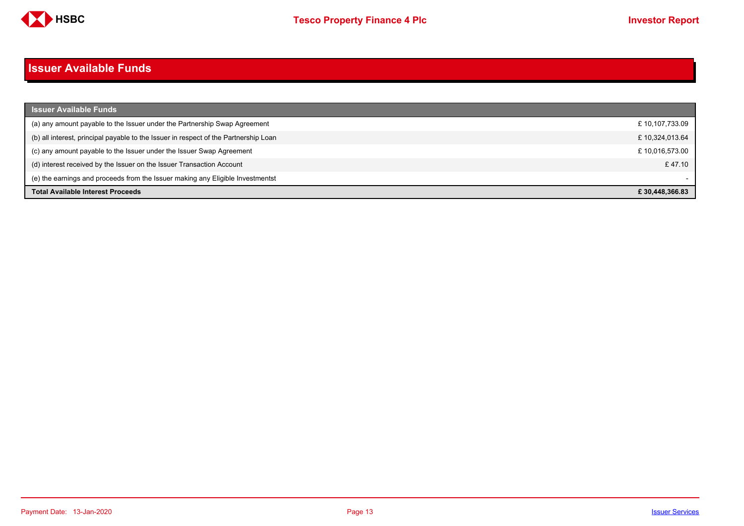

#### <span id="page-12-0"></span>**Issuer Available Funds**

| <b>Issuer Available Funds</b>                                                        |                |
|--------------------------------------------------------------------------------------|----------------|
| (a) any amount payable to the Issuer under the Partnership Swap Agreement            | £10,107,733.09 |
| (b) all interest, principal payable to the Issuer in respect of the Partnership Loan | £10,324,013.64 |
| (c) any amount payable to the Issuer under the Issuer Swap Agreement                 | £10,016,573.00 |
| (d) interest received by the Issuer on the Issuer Transaction Account                | £47.10         |
| (e) the earnings and proceeds from the Issuer making any Eligible Investmentst       |                |
| <b>Total Available Interest Proceeds</b>                                             | £30.448.366.83 |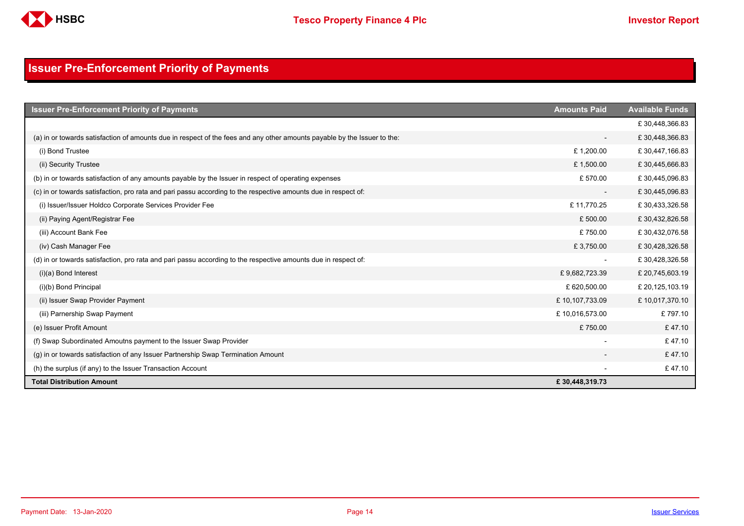

### <span id="page-13-0"></span>**Issuer Pre-Enforcement Priority of Payments**

| <b>Issuer Pre-Enforcement Priority of Payments</b>                                                                       | <b>Amounts Paid</b>      | <b>Available Funds</b> |
|--------------------------------------------------------------------------------------------------------------------------|--------------------------|------------------------|
|                                                                                                                          |                          | £30,448,366.83         |
| (a) in or towards satisfaction of amounts due in respect of the fees and any other amounts payable by the Issuer to the: | $\overline{\phantom{a}}$ | £30,448,366.83         |
| (i) Bond Trustee                                                                                                         | £1,200.00                | £30,447,166.83         |
| (ii) Security Trustee                                                                                                    | £1,500.00                | £30,445,666.83         |
| (b) in or towards satisfaction of any amounts payable by the Issuer in respect of operating expenses                     | £570.00                  | £30,445,096.83         |
| (c) in or towards satisfaction, pro rata and pari passu according to the respective amounts due in respect of:           | $\overline{\phantom{a}}$ | £30,445,096.83         |
| (i) Issuer/Issuer Holdco Corporate Services Provider Fee                                                                 | £11,770.25               | £30,433,326.58         |
| (ii) Paying Agent/Registrar Fee                                                                                          | £500.00                  | £30,432,826.58         |
| (iii) Account Bank Fee                                                                                                   | £750.00                  | £30,432,076.58         |
| (iv) Cash Manager Fee                                                                                                    | £3,750.00                | £30,428,326.58         |
| (d) in or towards satisfaction, pro rata and pari passu according to the respective amounts due in respect of:           |                          | £30,428,326.58         |
| $(i)(a)$ Bond Interest                                                                                                   | £9,682,723.39            | £ 20,745,603.19        |
| (i)(b) Bond Principal                                                                                                    | £620,500.00              | £ 20,125,103.19        |
| (ii) Issuer Swap Provider Payment                                                                                        | £10,107,733.09           | £10,017,370.10         |
| (iii) Parnership Swap Payment                                                                                            | £10,016,573.00           | £797.10                |
| (e) Issuer Profit Amount                                                                                                 | £750.00                  | £47.10                 |
| (f) Swap Subordinated Amoutns payment to the Issuer Swap Provider                                                        |                          | £47.10                 |
| (g) in or towards satisfaction of any Issuer Partnership Swap Termination Amount                                         |                          | £47.10                 |
| (h) the surplus (if any) to the Issuer Transaction Account                                                               |                          | £47.10                 |
| <b>Total Distribution Amount</b>                                                                                         | £30,448,319.73           |                        |